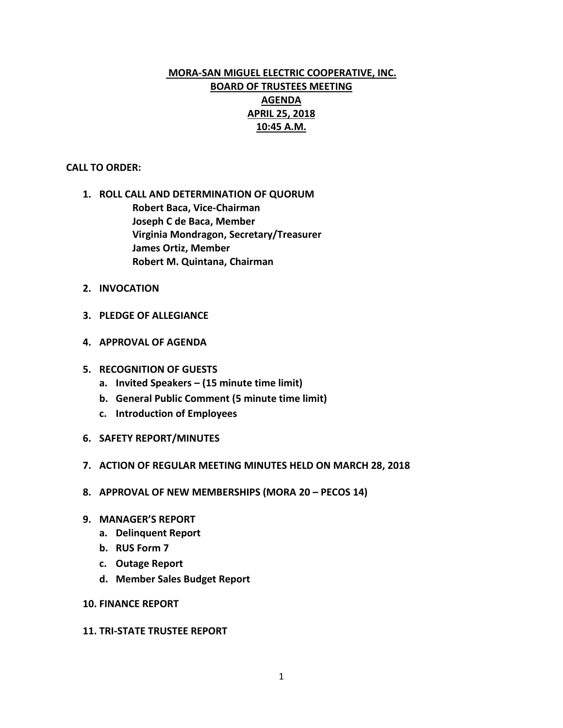# **MORA-SAN MIGUEL ELECTRIC COOPERATIVE, INC. BOARD OF TRUSTEES MEETING AGENDA APRIL 25, 2018 10:45 A.M.**

### **CALL TO ORDER:**

- **1. ROLL CALL AND DETERMINATION OF QUORUM Robert Baca, Vice-Chairman Joseph C de Baca, Member Virginia Mondragon, Secretary/Treasurer James Ortiz, Member Robert M. Quintana, Chairman**
- **2. INVOCATION**
- **3. PLEDGE OF ALLEGIANCE**
- **4. APPROVAL OF AGENDA**
- **5. RECOGNITION OF GUESTS**
	- **a. Invited Speakers – (15 minute time limit)**
	- **b. General Public Comment (5 minute time limit)**
	- **c. Introduction of Employees**
- **6. SAFETY REPORT/MINUTES**
- **7. ACTION OF REGULAR MEETING MINUTES HELD ON MARCH 28, 2018**
- **8. APPROVAL OF NEW MEMBERSHIPS (MORA 20 – PECOS 14)**
- **9. MANAGER'S REPORT**
	- **a. Delinquent Report**
	- **b. RUS Form 7**
	- **c. Outage Report**
	- **d. Member Sales Budget Report**
- **10. FINANCE REPORT**

#### **11. TRI-STATE TRUSTEE REPORT**